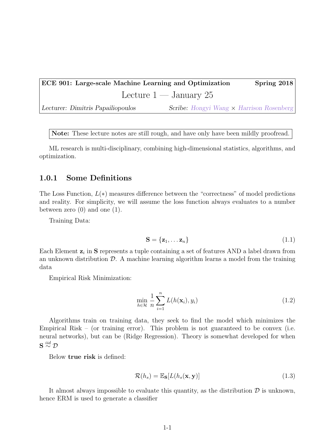ECE 901: Large-scale Machine Learning and Optimization Spring 2018 Lecture  $1 -$  January 25

Lecturer: Dimitris Papailiopoulos Scribe: [Hongyi Wang](https://hwang595.github.io/) × [Harrison Rosenberg](http://harrisonrosenberg.com/)

Note: These lecture notes are still rough, and have only have been mildly proofread.

ML research is multi-disciplinary, combining high-dimensional statistics, algorithms, and optimization.

## 1.0.1 Some Definitions

The Loss Function,  $L(*)$  measures difference between the "correctness" of model predictions and reality. For simplicity, we will assume the loss function always evaluates to a number between zero  $(0)$  and one  $(1)$ .

Training Data:

$$
\mathbf{S} = \{ \mathbf{z}_1, \dots \mathbf{z}_n \} \tag{1.1}
$$

Each Element  $z_i$  in S represents a tuple containing a set of features AND a label drawn from an unknown distribution  $\mathcal{D}$ . A machine learning algorithm learns a model from the training data

Empirical Risk Minimization:

$$
\min_{h \in \mathcal{H}} \frac{1}{n} \sum_{i=1}^{n} L(h(\mathbf{x}_i), y_i)
$$
\n(1.2)

Algorithms train on training data, they seek to find the model which minimizes the Empirical Risk – (or training error). This problem is not guaranteed to be convex (i.e. neural networks), but can be (Ridge Regression). Theory is somewhat developed for when  $\mathbf{S}\stackrel{iid}{\sim}\mathcal{D}$ 

Below true risk is defined:

<span id="page-0-0"></span>
$$
\mathcal{R}(h_s) = \mathbb{E}_{\mathbf{S}}[L(h_s(\mathbf{x}, \mathbf{y}))] \tag{1.3}
$$

It almost always impossible to evaluate this quantity, as the distribution  $\mathcal D$  is unknown, hence ERM is used to generate a classifier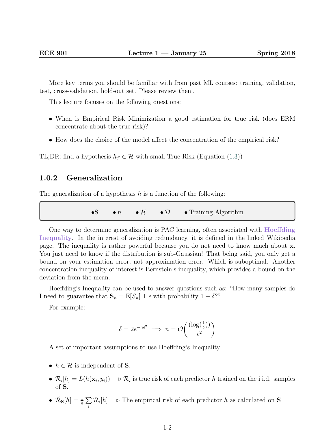More key terms you should be familiar with from past ML courses: training, validation, test, cross-validation, hold-out set. Please review them.

This lecture focuses on the following questions:

- When is Empirical Risk Minimization a good estimation for true risk (does ERM concentrate about the true risk)?
- How does the choice of the model affect the concentration of the empirical risk?

TL;DR: find a hypothesis  $h_{\mathcal{S}} \in \mathcal{H}$  with small True Risk (Equation [\(1.3\)](#page-0-0))

## 1.0.2 Generalization

The generalization of a hypothesis  $h$  is a function of the following:

•S •  $n \bullet \mathcal{H} \bullet \mathcal{D} \bullet$  Training Algorithm

One way to determine generalization is PAC learning, often associated with [Hoeffding](https://en.wikipedia.org/wiki/Hoeffding%27s_inequality) [Inequality](https://en.wikipedia.org/wiki/Hoeffding%27s_inequality). In the interest of avoiding redundancy, it is defined in the linked Wikipedia page. The inequality is rather powerful because you do not need to know much about x. You just need to know if the distribution is sub-Gaussian! That being said, you only get a bound on your estimation error, not approximation error. Which is suboptimal. Another concentration inequality of interest is Bernstein's inequality, which provides a bound on the deviation from the mean.

Hoeffding's Inequality can be used to answer questions such as: "How many samples do I need to guarantee that  $\mathbf{S}_n = \mathbb{E}[S_n] \pm \epsilon$  with probability  $1 - \delta$ ?"

For example:

$$
\delta = 2e^{-n\epsilon^2} \implies n = \mathcal{O}\left(\frac{(\log(\frac{1}{\delta}))}{\epsilon^2}\right)
$$

A set of important assumptions to use Hoeffding's Inequality:

- $h \in \mathcal{H}$  is independent of **S**.
- $\mathcal{R}_i[h] = L(h(\mathbf{x}_i, y_i)) \Rightarrow \mathcal{R}_i$  is true risk of each predictor h trained on the i.i.d. samples of S.
- $\mathcal{\hat{R}}_{\mathbf{S}}[h] = \frac{1}{n} \sum_{i=1}^{n}$ i  $\mathcal{R}_i[h] \rightarrow \text{The empirical risk of each predictor } h \text{ as calculated on } S$